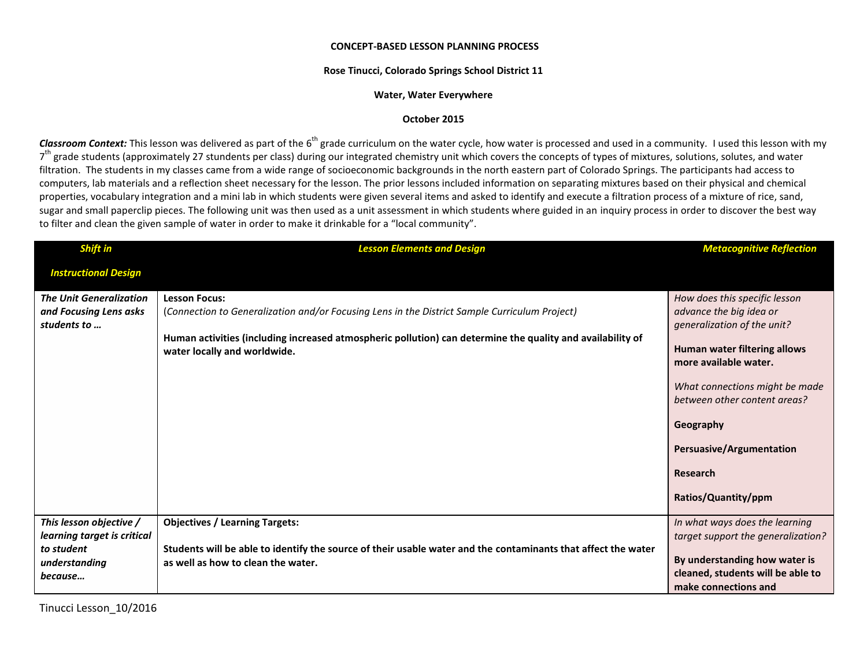## **CONCEPT-BASED LESSON PLANNING PROCESS**

## **Rose Tinucci, Colorado Springs School District 11**

## **Water, Water Everywhere**

## **October 2015**

Classroom Context: This lesson was delivered as part of the 6<sup>th</sup> grade curriculum on the water cycle, how water is processed and used in a community. I used this lesson with my 7<sup>th</sup> grade students (approximately 27 stundents per class) during our integrated chemistry unit which covers the concepts of types of mixtures, solutions, solutes, and water filtration. The students in my classes came from a wide range of socioeconomic backgrounds in the north eastern part of Colorado Springs. The participants had access to computers, lab materials and a reflection sheet necessary for the lesson. The prior lessons included information on separating mixtures based on their physical and chemical properties, vocabulary integration and a mini lab in which students were given several items and asked to identify and execute a filtration process of a mixture of rice, sand, sugar and small paperclip pieces. The following unit was then used as a unit assessment in which students where guided in an inquiry process in order to discover the best way to filter and clean the given sample of water in order to make it drinkable for a "local community".

| <b>Shift in</b>                                                                                  | <b>Lesson Elements and Design</b>                                                                                                                                                                                                                                   | <b>Metacognitive Reflection</b>                                                                                                                                                                                                                                                                       |
|--------------------------------------------------------------------------------------------------|---------------------------------------------------------------------------------------------------------------------------------------------------------------------------------------------------------------------------------------------------------------------|-------------------------------------------------------------------------------------------------------------------------------------------------------------------------------------------------------------------------------------------------------------------------------------------------------|
| <b>Instructional Design</b>                                                                      |                                                                                                                                                                                                                                                                     |                                                                                                                                                                                                                                                                                                       |
| <b>The Unit Generalization</b><br>and Focusing Lens asks<br>students to                          | <b>Lesson Focus:</b><br>(Connection to Generalization and/or Focusing Lens in the District Sample Curriculum Project)<br>Human activities (including increased atmospheric pollution) can determine the quality and availability of<br>water locally and worldwide. | How does this specific lesson<br>advance the big idea or<br>generalization of the unit?<br>Human water filtering allows<br>more available water.<br>What connections might be made<br>between other content areas?<br>Geography<br><b>Persuasive/Argumentation</b><br>Research<br>Ratios/Quantity/ppm |
| This lesson objective /<br>learning target is critical<br>to student<br>understanding<br>because | <b>Objectives / Learning Targets:</b><br>Students will be able to identify the source of their usable water and the contaminants that affect the water<br>as well as how to clean the water.                                                                        | In what ways does the learning<br>target support the generalization?<br>By understanding how water is<br>cleaned, students will be able to<br>make connections and                                                                                                                                    |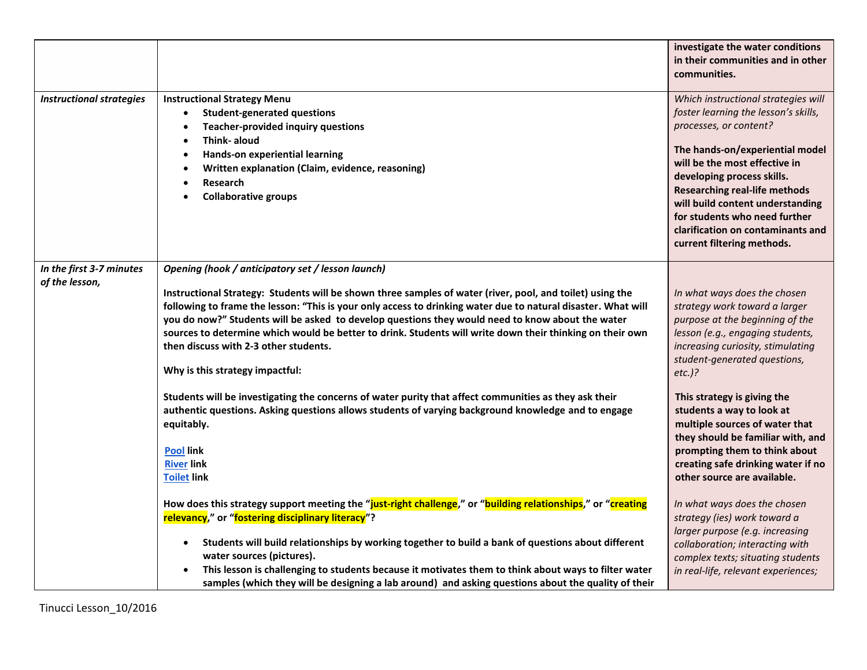|                                            |                                                                                                                                                                                                                                                                                                                                                                                                                                                                                                                                                                              | investigate the water conditions<br>in their communities and in other<br>communities.                                                                                                                                                                                                                                                                                                   |
|--------------------------------------------|------------------------------------------------------------------------------------------------------------------------------------------------------------------------------------------------------------------------------------------------------------------------------------------------------------------------------------------------------------------------------------------------------------------------------------------------------------------------------------------------------------------------------------------------------------------------------|-----------------------------------------------------------------------------------------------------------------------------------------------------------------------------------------------------------------------------------------------------------------------------------------------------------------------------------------------------------------------------------------|
| <b>Instructional strategies</b>            | <b>Instructional Strategy Menu</b><br><b>Student-generated questions</b><br><b>Teacher-provided inquiry questions</b><br>Think- aloud<br>Hands-on experiential learning<br>Written explanation (Claim, evidence, reasoning)<br>Research<br><b>Collaborative groups</b>                                                                                                                                                                                                                                                                                                       | Which instructional strategies will<br>foster learning the lesson's skills,<br>processes, or content?<br>The hands-on/experiential model<br>will be the most effective in<br>developing process skills.<br><b>Researching real-life methods</b><br>will build content understanding<br>for students who need further<br>clarification on contaminants and<br>current filtering methods. |
| In the first 3-7 minutes<br>of the lesson, | Opening (hook / anticipatory set / lesson launch)<br>Instructional Strategy: Students will be shown three samples of water (river, pool, and toilet) using the<br>following to frame the lesson: "This is your only access to drinking water due to natural disaster. What will<br>you do now?" Students will be asked to develop questions they would need to know about the water<br>sources to determine which would be better to drink. Students will write down their thinking on their own<br>then discuss with 2-3 other students.<br>Why is this strategy impactful: | In what ways does the chosen<br>strategy work toward a larger<br>purpose at the beginning of the<br>lesson (e.g., engaging students,<br>increasing curiosity, stimulating<br>student-generated questions,<br>$etc.$ )?                                                                                                                                                                  |
|                                            | Students will be investigating the concerns of water purity that affect communities as they ask their<br>authentic questions. Asking questions allows students of varying background knowledge and to engage<br>equitably.<br><b>Pool link</b><br><b>River link</b><br><b>Toilet link</b>                                                                                                                                                                                                                                                                                    | This strategy is giving the<br>students a way to look at<br>multiple sources of water that<br>they should be familiar with, and<br>prompting them to think about<br>creating safe drinking water if no<br>other source are available.                                                                                                                                                   |
|                                            | How does this strategy support meeting the "just-right challenge," or "building relationships," or "creating<br>relevancy," or "fostering disciplinary literacy"?<br>Students will build relationships by working together to build a bank of questions about different<br>$\bullet$<br>water sources (pictures).<br>This lesson is challenging to students because it motivates them to think about ways to filter water<br>samples (which they will be designing a lab around) and asking questions about the quality of their                                             | In what ways does the chosen<br>strategy (ies) work toward a<br>larger purpose (e.g. increasing<br>collaboration; interacting with<br>complex texts; situating students<br>in real-life, relevant experiences;                                                                                                                                                                          |

Tinucci Lesson\_10/2016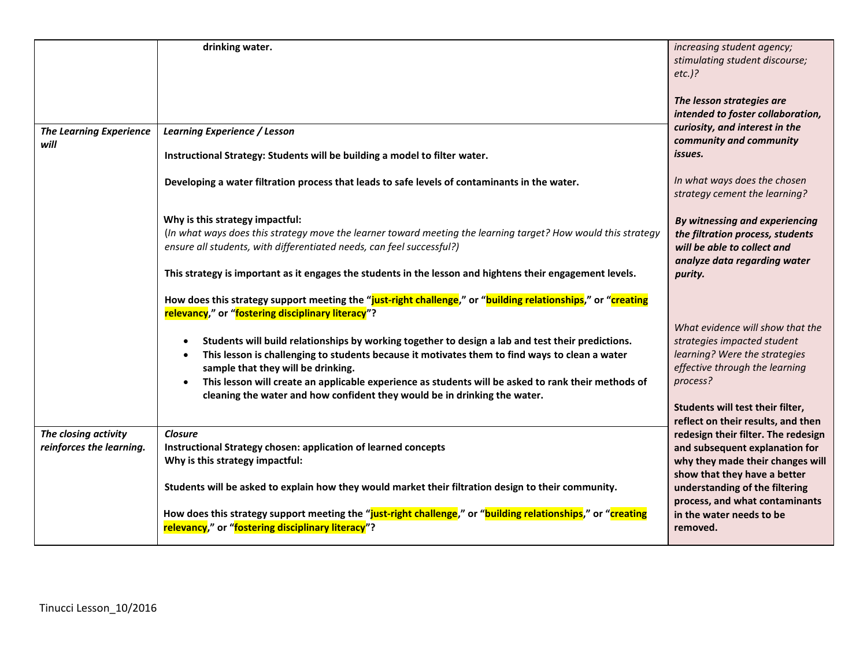|                                                  | drinking water.                                                                                                                                                                                                                                                                                                                                  | increasing student agency;<br>stimulating student discourse;<br>$etc.$ )?                                                                 |
|--------------------------------------------------|--------------------------------------------------------------------------------------------------------------------------------------------------------------------------------------------------------------------------------------------------------------------------------------------------------------------------------------------------|-------------------------------------------------------------------------------------------------------------------------------------------|
|                                                  |                                                                                                                                                                                                                                                                                                                                                  | The lesson strategies are<br>intended to foster collaboration,<br>curiosity, and interest in the                                          |
| <b>The Learning Experience</b><br>will           | <b>Learning Experience / Lesson</b><br>Instructional Strategy: Students will be building a model to filter water.                                                                                                                                                                                                                                | community and community<br>issues.                                                                                                        |
|                                                  | Developing a water filtration process that leads to safe levels of contaminants in the water.                                                                                                                                                                                                                                                    | In what ways does the chosen<br>strategy cement the learning?                                                                             |
|                                                  | Why is this strategy impactful:<br>(In what ways does this strategy move the learner toward meeting the learning target? How would this strategy<br>ensure all students, with differentiated needs, can feel successful?)                                                                                                                        | By witnessing and experiencing<br>the filtration process, students<br>will be able to collect and<br>analyze data regarding water         |
|                                                  | This strategy is important as it engages the students in the lesson and hightens their engagement levels.                                                                                                                                                                                                                                        | purity.                                                                                                                                   |
|                                                  | How does this strategy support meeting the "just-right challenge," or "building relationships," or "creating<br>relevancy," or "fostering disciplinary literacy"?                                                                                                                                                                                | What evidence will show that the                                                                                                          |
|                                                  | Students will build relationships by working together to design a lab and test their predictions.<br>This lesson is challenging to students because it motivates them to find ways to clean a water<br>sample that they will be drinking.<br>This lesson will create an applicable experience as students will be asked to rank their methods of | strategies impacted student<br>learning? Were the strategies<br>effective through the learning<br>process?                                |
|                                                  | cleaning the water and how confident they would be in drinking the water.                                                                                                                                                                                                                                                                        | Students will test their filter,<br>reflect on their results, and then                                                                    |
| The closing activity<br>reinforces the learning. | <b>Closure</b><br>Instructional Strategy chosen: application of learned concepts<br>Why is this strategy impactful:                                                                                                                                                                                                                              | redesign their filter. The redesign<br>and subsequent explanation for<br>why they made their changes will<br>show that they have a better |
|                                                  | Students will be asked to explain how they would market their filtration design to their community.<br>How does this strategy support meeting the "just-right challenge," or "building relationships," or "creating                                                                                                                              | understanding of the filtering<br>process, and what contaminants<br>in the water needs to be                                              |
|                                                  | relevancy," or "fostering disciplinary literacy"?                                                                                                                                                                                                                                                                                                | removed.                                                                                                                                  |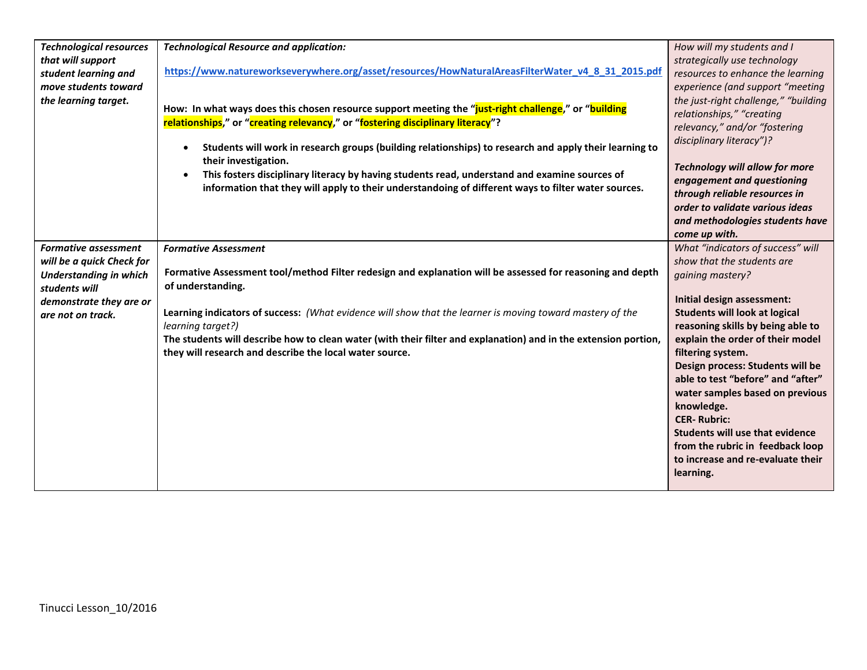| <b>Technological resources</b> | <b>Technological Resource and application:</b>                                                                                                                                         | How will my students and I                                                 |
|--------------------------------|----------------------------------------------------------------------------------------------------------------------------------------------------------------------------------------|----------------------------------------------------------------------------|
| that will support              |                                                                                                                                                                                        | strategically use technology                                               |
| student learning and           | https://www.natureworkseverywhere.org/asset/resources/HowNaturalAreasFilterWater_v4_8_31_2015.pdf                                                                                      | resources to enhance the learning                                          |
| move students toward           |                                                                                                                                                                                        | experience (and support "meeting                                           |
| the learning target.           |                                                                                                                                                                                        | the just-right challenge," "building                                       |
|                                | How: In what ways does this chosen resource support meeting the "just-right challenge," or "building<br>relationships," or "creating relevancy," or "fostering disciplinary literacy"? | relationships," "creating                                                  |
|                                |                                                                                                                                                                                        | relevancy," and/or "fostering                                              |
|                                | Students will work in research groups (building relationships) to research and apply their learning to<br>$\bullet$                                                                    | disciplinary literacy")?                                                   |
|                                | their investigation.                                                                                                                                                                   |                                                                            |
|                                | This fosters disciplinary literacy by having students read, understand and examine sources of<br>$\bullet$                                                                             | <b>Technology will allow for more</b>                                      |
|                                | information that they will apply to their understandoing of different ways to filter water sources.                                                                                    | engagement and questioning                                                 |
|                                |                                                                                                                                                                                        | through reliable resources in                                              |
|                                |                                                                                                                                                                                        | order to validate various ideas                                            |
|                                |                                                                                                                                                                                        | and methodologies students have                                            |
|                                |                                                                                                                                                                                        | come up with.                                                              |
| <b>Formative assessment</b>    | <b>Formative Assessment</b>                                                                                                                                                            | What "indicators of success" will                                          |
| will be a quick Check for      |                                                                                                                                                                                        | show that the students are                                                 |
| <b>Understanding in which</b>  | Formative Assessment tool/method Filter redesign and explanation will be assessed for reasoning and depth                                                                              | qaining mastery?                                                           |
| students will                  | of understanding.                                                                                                                                                                      |                                                                            |
| demonstrate they are or        |                                                                                                                                                                                        | Initial design assessment:                                                 |
| are not on track.              | Learning indicators of success: (What evidence will show that the learner is moving toward mastery of the                                                                              | <b>Students will look at logical</b>                                       |
|                                | learning target?)                                                                                                                                                                      | reasoning skills by being able to                                          |
|                                | The students will describe how to clean water (with their filter and explanation) and in the extension portion,                                                                        | explain the order of their model                                           |
|                                | they will research and describe the local water source.                                                                                                                                | filtering system.                                                          |
|                                |                                                                                                                                                                                        | Design process: Students will be                                           |
|                                |                                                                                                                                                                                        | able to test "before" and "after"                                          |
|                                |                                                                                                                                                                                        | water samples based on previous                                            |
|                                |                                                                                                                                                                                        | knowledge.                                                                 |
|                                |                                                                                                                                                                                        | <b>CER-Rubric:</b>                                                         |
|                                |                                                                                                                                                                                        | <b>Students will use that evidence</b><br>from the rubric in feedback loop |
|                                |                                                                                                                                                                                        | to increase and re-evaluate their                                          |
|                                |                                                                                                                                                                                        |                                                                            |
|                                |                                                                                                                                                                                        | learning.                                                                  |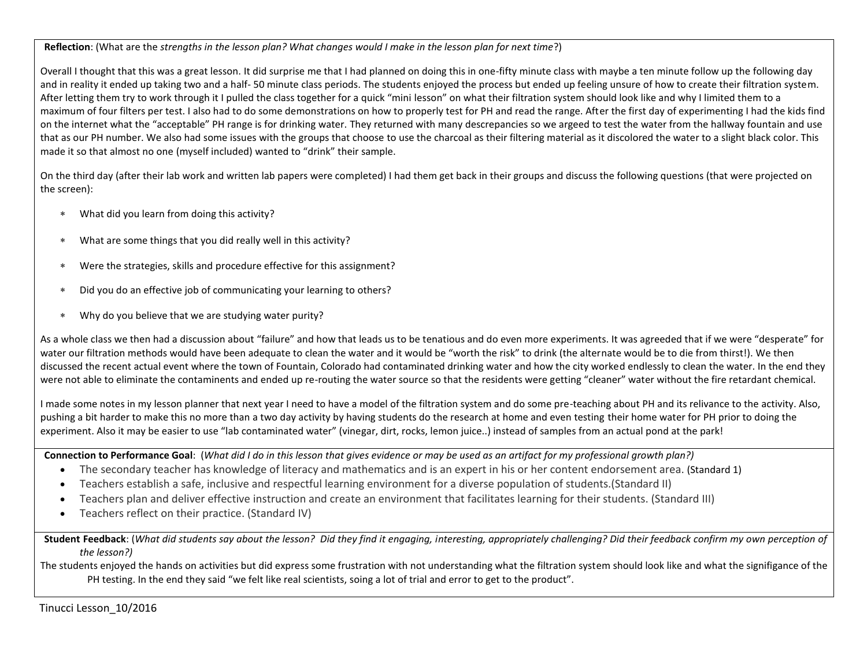**Reflection**: (What are the *strengths in the lesson plan? What changes would I make in the lesson plan for next time*?)

Overall I thought that this was a great lesson. It did surprise me that I had planned on doing this in one-fifty minute class with maybe a ten minute follow up the following day and in reality it ended up taking two and a half- 50 minute class periods. The students enjoyed the process but ended up feeling unsure of how to create their filtration system. After letting them try to work through it I pulled the class together for a quick "mini lesson" on what their filtration system should look like and why I limited them to a maximum of four filters per test. I also had to do some demonstrations on how to properly test for PH and read the range. After the first day of experimenting I had the kids find on the internet what the "acceptable" PH range is for drinking water. They returned with many descrepancies so we argeed to test the water from the hallway fountain and use that as our PH number. We also had some issues with the groups that choose to use the charcoal as their filtering material as it discolored the water to a slight black color. This made it so that almost no one (myself included) wanted to "drink" their sample.

On the third day (after their lab work and written lab papers were completed) I had them get back in their groups and discuss the following questions (that were projected on the screen):

- What did you learn from doing this activity?
- What are some things that you did really well in this activity?
- Were the strategies, skills and procedure effective for this assignment?
- Did you do an effective job of communicating your learning to others?
- Why do you believe that we are studying water purity?

As a whole class we then had a discussion about "failure" and how that leads us to be tenatious and do even more experiments. It was agreeded that if we were "desperate" for water our filtration methods would have been adequate to clean the water and it would be "worth the risk" to drink (the alternate would be to die from thirst!). We then discussed the recent actual event where the town of Fountain, Colorado had contaminated drinking water and how the city worked endlessly to clean the water. In the end they were not able to eliminate the contaminents and ended up re-routing the water source so that the residents were getting "cleaner" water without the fire retardant chemical.

I made some notes in my lesson planner that next year I need to have a model of the filtration system and do some pre-teaching about PH and its relivance to the activity. Also, pushing a bit harder to make this no more than a two day activity by having students do the research at home and even testing their home water for PH prior to doing the experiment. Also it may be easier to use "lab contaminated water" (vinegar, dirt, rocks, lemon juice..) instead of samples from an actual pond at the park!

**Connection to Performance Goal**: (*What did I do in this lesson that gives evidence or may be used as an artifact for my professional growth plan?)*

- The secondary teacher has knowledge of literacy and mathematics and is an expert in his or her content endorsement area. (Standard 1)
- Teachers establish a safe, inclusive and respectful learning environment for a diverse population of students.(Standard II)
- Teachers plan and deliver effective instruction and create an environment that facilitates learning for their students. (Standard III)
- Teachers reflect on their practice. (Standard IV)

**Student Feedback**: (*What did students say about the lesson? Did they find it engaging, interesting, appropriately challenging? Did their feedback confirm my own perception of the lesson?)*

The students enjoyed the hands on activities but did express some frustration with not understanding what the filtration system should look like and what the signifigance of the PH testing. In the end they said "we felt like real scientists, soing a lot of trial and error to get to the product".

Tinucci Lesson\_10/2016